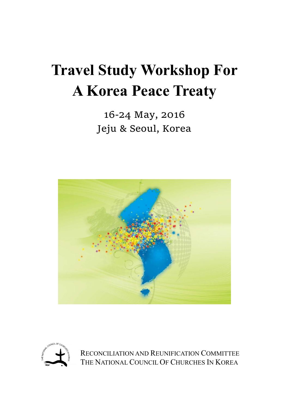# **Travel Study Workshop For A Korea Peace Treaty**

16‐24 May, 2016 Jeju & Seoul, Korea





RECONCILIATION AND REUNIFICATION COMMITTEE THE NATIONAL COUNCIL OF CHURCHES IN KOREA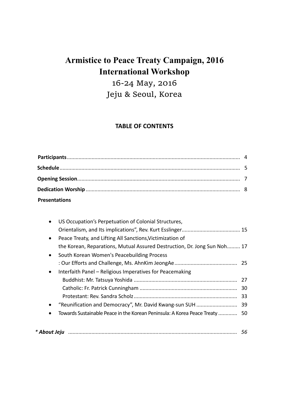# **Armistice to Peace Treaty Campaign, 2016 International Workshop**

16‐24 May, 2016 Jeju & Seoul, Korea

## **TABLE OF CONTENTS**

| <b>Presentations</b> |  |
|----------------------|--|

| $\bullet$    | US Occupation's Perpetuation of Colonial Structures,                        |    |
|--------------|-----------------------------------------------------------------------------|----|
|              |                                                                             |    |
| $\bullet$    | Peace Treaty, and Lifting All Sanctions, Victimization of                   |    |
|              | the Korean, Reparations, Mutual Assured Destruction, Dr. Jong Sun Noh 17    |    |
| $\bullet$    | South Korean Women's Peacebuilding Process                                  |    |
|              |                                                                             |    |
| $\bullet$    | Interfaith Panel – Religious Imperatives for Peacemaking                    |    |
|              |                                                                             |    |
|              |                                                                             |    |
|              |                                                                             |    |
| $\bullet$    |                                                                             |    |
|              | Towards Sustainable Peace in the Korean Peninsula: A Korea Peace Treaty  50 |    |
|              |                                                                             |    |
| * About Jeju |                                                                             | 56 |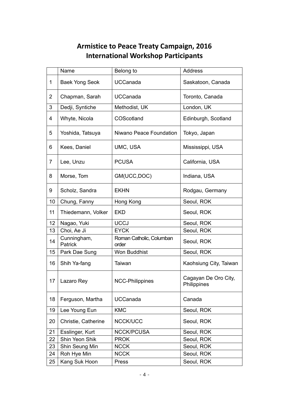## **Armistice to Peace Treaty Campaign, 2016 International Workshop Participants**

|    | Name                   | Belong to                         | <b>Address</b>                      |
|----|------------------------|-----------------------------------|-------------------------------------|
| 1  | <b>Baek Yong Seok</b>  | <b>UCCanada</b>                   | Saskatoon, Canada                   |
| 2  | Chapman, Sarah         | <b>UCCanada</b>                   | Toronto, Canada                     |
| 3  | Dedji, Syntiche        | Methodist, UK                     | London, UK                          |
| 4  | Whyte, Nicola          | COScotland                        | Edinburgh, Scotland                 |
| 5  | Yoshida, Tatsuya       | Niwano Peace Foundation           | Tokyo, Japan                        |
| 6  | Kees, Daniel           | UMC, USA                          | Mississippi, USA                    |
| 7  | Lee, Unzu              | <b>PCUSA</b>                      | California, USA                     |
| 8  | Morse, Tom             | GM(UCC, DOC)                      | Indiana, USA                        |
| 9  | Scholz, Sandra         | <b>EKHN</b>                       | Rodgau, Germany                     |
| 10 | Chung, Fanny           | Hong Kong                         | Seoul, ROK                          |
| 11 | Thiedemann, Volker     | <b>EKD</b>                        | Seoul, ROK                          |
| 12 | Nagao, Yuki            | <b>UCCJ</b>                       | Seoul, ROK                          |
| 13 | Choi, Ae Ji            | <b>EYCK</b>                       | Seoul, ROK                          |
| 14 | Cunningham,<br>Patrick | Roman Catholic, Columban<br>order | Seoul, ROK                          |
| 15 | Park Dae Sung          | Won Buddhist                      | Seoul, ROK                          |
| 16 | Shih Ya-fang           | Taiwan                            | Kaohsiung City, Taiwan              |
| 17 | Lazaro Rey             | <b>NCC-Philippines</b>            | Cagayan De Oro City,<br>Philippines |
| 18 | Ferguson, Martha       | <b>UCCanada</b>                   | Canada                              |
| 19 | Lee Young Eun          | <b>KMC</b>                        | Seoul, ROK                          |
| 20 | Christie, Catherine    | NCCK/UCC                          | Seoul, ROK                          |
| 21 | Esslinger, Kurt        | <b>NCCK/PCUSA</b>                 | Seoul, ROK                          |
| 22 | Shin Yeon Shik         | <b>PROK</b>                       | Seoul, ROK                          |
| 23 | Shin Seung Min         | <b>NCCK</b>                       | Seoul, ROK                          |
| 24 | Roh Hye Min            | <b>NCCK</b>                       | Seoul, ROK                          |
| 25 | Kang Suk Hoon          | Press                             | Seoul, ROK                          |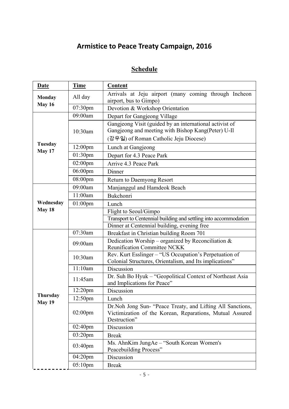# **Armistice to Peace Treaty Campaign, 2016**

# **Schedule**

| <b>Date</b>               | <b>Time</b>         | <b>Content</b>                                                                                                                                         |  |
|---------------------------|---------------------|--------------------------------------------------------------------------------------------------------------------------------------------------------|--|
| <b>Monday</b>             | All day             | Arrivals at Jeju airport (many coming through Incheon<br>airport, bus to Gimpo)                                                                        |  |
| May 16                    | 07:30pm             | Devotion & Workshop Orientation                                                                                                                        |  |
|                           | 09:00am             | Depart for Gangjeong Village                                                                                                                           |  |
|                           | 10:30am             | Gangjeong Visit (guided by an international activist of<br>Gangjeong and meeting with Bishop Kang(Peter) U-Il<br>(강우일) of Roman Catholic Jeju Diocese) |  |
| Tuesday                   | 12:00 <sub>pm</sub> | Lunch at Gangjeong                                                                                                                                     |  |
| May 17                    | $01:30$ pm          | Depart for 4.3 Peace Park                                                                                                                              |  |
|                           | $02:00$ pm          | Arrive 4.3 Peace Park                                                                                                                                  |  |
|                           | $06:00$ pm          | Dinner                                                                                                                                                 |  |
|                           | 08:00pm             | Return to Daemyong Resort                                                                                                                              |  |
|                           | 09:00am             | Manjanggul and Hamdeok Beach                                                                                                                           |  |
|                           | 11:00am             | Bukchonri                                                                                                                                              |  |
| Wednesday                 | $01:00$ pm          | Lunch                                                                                                                                                  |  |
| May 18                    |                     | Flight to Seoul/Gimpo                                                                                                                                  |  |
|                           |                     | Transport to Centennial building and settling into accommodation                                                                                       |  |
|                           |                     | Dinner at Centennial building, evening free                                                                                                            |  |
|                           | 07:30am             | Breakfast in Christian building Room 701                                                                                                               |  |
|                           | 09:00am             | Dedication Worship – organized by Reconciliation $&$<br><b>Reunification Committee NCKK</b>                                                            |  |
|                           | 10:30am             | Rev. Kurt Esslinger - "US Occupation's Perpetuation of<br>Colonial Structures, Orientalism, and Its implications"                                      |  |
|                           | 11:10am             | Discussion                                                                                                                                             |  |
|                           | 11:45am             | Dr. Suh Bo Hyuk - "Geopolitical Context of Northeast Asia<br>and Implications for Peace"                                                               |  |
|                           | $12:20$ pm          | Discussion                                                                                                                                             |  |
| Thursday<br><b>May 19</b> | 12:50pm             | Lunch                                                                                                                                                  |  |
|                           | $02:00$ pm          | Dr. Noh Jong Sun- "Peace Treaty, and Lifting All Sanctions,<br>Victimization of the Korean, Reparations, Mutual Assured<br>Destruction"                |  |
|                           | $02:40$ pm          | Discussion                                                                                                                                             |  |
|                           | $03:20$ pm          | <b>Break</b>                                                                                                                                           |  |
|                           | 03:40pm             | Ms. AhnKim JungAe – "South Korean Women's<br>Peacebuilding Process"                                                                                    |  |
|                           | 04:20pm             | Discussion                                                                                                                                             |  |
|                           | $05:10$ pm          | <b>Break</b>                                                                                                                                           |  |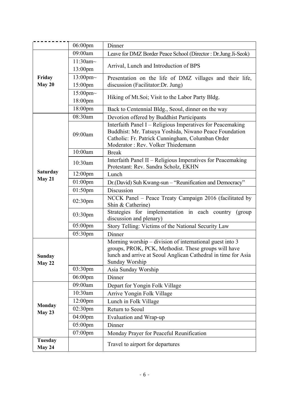|                          | $06:00$ pm                         | Dinner                                                                                                                                                                                                         |  |
|--------------------------|------------------------------------|----------------------------------------------------------------------------------------------------------------------------------------------------------------------------------------------------------------|--|
|                          | 09:00am                            | Leave for DMZ Border Peace School (Director: Dr.Jung Ji-Seok)                                                                                                                                                  |  |
|                          | $11:30$ am~<br>13:00 <sub>pm</sub> | Arrival, Lunch and Introduction of BPS                                                                                                                                                                         |  |
| Friday<br>May 20         | 13:00pm~<br>15:00pm                | Presentation on the life of DMZ villages and their life,<br>discussion (Facilitator:Dr. Jung)                                                                                                                  |  |
|                          | $15:00$ pm~<br>18:00 <sub>pm</sub> | Hiking of Mt.Soi; Visit to the Labor Party Bldg.                                                                                                                                                               |  |
|                          | 18:00pm                            | Back to Centennial Bldg., Seoul, dinner on the way                                                                                                                                                             |  |
|                          | 08:30am                            | Devotion offered by Buddhist Participants                                                                                                                                                                      |  |
|                          | 09:00am                            | Interfaith Panel I - Religious Imperatives for Peacemaking<br>Buddhist: Mr. Tatsuya Yoshida, Niwano Peace Foundation<br>Catholic: Fr. Patrick Cunningham, Columban Order<br>Moderator : Rev. Volker Thiedemann |  |
|                          | 10:00am                            | <b>Break</b>                                                                                                                                                                                                   |  |
|                          | 10:30am                            | Interfaith Panel II – Religious Imperatives for Peacemaking<br>Protestant: Rev. Sandra Scholz, EKHN                                                                                                            |  |
| <b>Saturday</b>          | 12:00pm                            | Lunch                                                                                                                                                                                                          |  |
| May 21                   | 01:00pm                            | Dr.(David) Suh Kwang-sun - "Reunification and Democracy"                                                                                                                                                       |  |
|                          | 01:50pm                            | Discussion                                                                                                                                                                                                     |  |
|                          | $02:30$ pm                         | NCCK Panel - Peace Treaty Campaign 2016 (facilitated by<br>Shin & Catherine)                                                                                                                                   |  |
|                          | $03:30$ pm                         | Strategies for implementation in each country<br>(group<br>discussion and plenary)                                                                                                                             |  |
|                          | 05:00pm                            | Story Telling: Victims of the National Security Law                                                                                                                                                            |  |
|                          | 05:30pm                            | Dinner                                                                                                                                                                                                         |  |
| <b>Sunday</b><br>May 22  |                                    | Morning worship – division of international guest into 3<br>groups, PROK, PCK, Methodist. These groups will have<br>lunch and arrive at Seoul Anglican Cathedral in time for Asia<br>Sunday Worship            |  |
|                          | 03:30pm                            | Asia Sunday Worship                                                                                                                                                                                            |  |
|                          | 06:00pm                            | Dinner                                                                                                                                                                                                         |  |
|                          | 09:00am                            | Depart for Yongin Folk Village                                                                                                                                                                                 |  |
|                          | 10:30am                            | Arrive Yongin Folk Village                                                                                                                                                                                     |  |
| <b>Monday</b>            | 12:00 <sub>pm</sub>                | Lunch in Folk Village                                                                                                                                                                                          |  |
| May 23                   | 02:30pm                            | Return to Seoul                                                                                                                                                                                                |  |
|                          | 04:00pm                            | Evaluation and Wrap-up                                                                                                                                                                                         |  |
|                          | 05:00pm                            | Dinner                                                                                                                                                                                                         |  |
|                          | 07:00pm                            | Monday Prayer for Peaceful Reunification                                                                                                                                                                       |  |
| <b>Tuesday</b><br>May 24 |                                    | Travel to airport for departures                                                                                                                                                                               |  |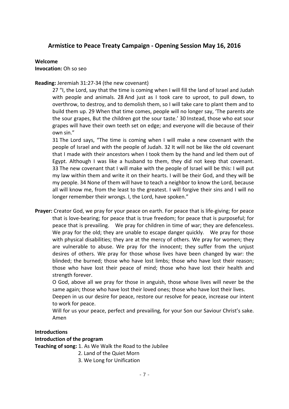## **Armistice to Peace Treaty Campaign ‐ Opening Session May 16, 2016**

#### **Welcome**

**Invocation:** Oh so seo

#### **Reading:** Jeremiah 31:27‐34 (the new covenant)

27 "I, the Lord, say that the time is coming when I will fill the land of Israel and Judah with people and animals. 28 And just as I took care to uproot, to pull down, to overthrow, to destroy, and to demolish them, so I will take care to plant them and to build them up. 29 When that time comes, people will no longer say, 'The parents ate the sour grapes, But the children got the sour taste.' 30 Instead, those who eat sour grapes will have their own teeth set on edge; and everyone will die because of their own sin."

31 The Lord says, "The time is coming when I will make a new covenant with the people of Israel and with the people of Judah. 32 It will not be like the old covenant that I made with their ancestors when I took them by the hand and led them out of Egypt. Although I was like a husband to them, they did not keep that covenant. 33 The new covenant that I will make with the people of Israel will be this: I will put my law within them and write it on their hearts. I will be their God, and they will be my people. 34 None of them will have to teach a neighbor to know the Lord, because all will know me, from the least to the greatest. I will forgive their sins and I will no longer remember their wrongs. I, the Lord, have spoken."

**Prayer:** Creator God, we pray for your peace on earth. For peace that is life‐giving; for peace that is love‐bearing; for peace that is true freedom; for peace that is purposeful; for peace that is prevailing. We pray for children in time of war; they are defenceless. We pray for the old; they are unable to escape danger quickly. We pray for those with physical disabilities; they are at the mercy of others. We pray for women; they are vulnerable to abuse. We pray for the innocent; they suffer from the unjust desires of others. We pray for those whose lives have been changed by war: the blinded; the burned; those who have lost limbs; those who have lost their reason; those who have lost their peace of mind; those who have lost their health and strength forever.

O God, above all we pray for those in anguish, those whose lives will never be the same again; those who have lost their loved ones; those who have lost their lives.

Deepen in us our desire for peace, restore our resolve for peace, increase our intent to work for peace.

Will for us your peace, perfect and prevailing, for your Son our Saviour Christ's sake. Amen

#### **Introductions**

#### **Introduction of the program**

**Teaching of song:** 1. As We Walk the Road to the Jubilee

- 2. Land of the Quiet Morn
- 3. We Long for Unification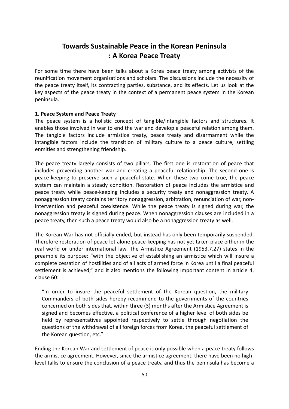## **Towards Sustainable Peace in the Korean Peninsula : A Korea Peace Treaty**

For some time there have been talks about a Korea peace treaty among activists of the reunification movement organizations and scholars. The discussions include the necessity of the peace treaty itself, its contracting parties, substance, and its effects. Let us look at the key aspects of the peace treaty in the context of a permanent peace system in the Korean peninsula.

#### **1. Peace System and Peace Treaty**

The peace system is a holistic concept of tangible/intangible factors and structures. It enables those involved in war to end the war and develop a peaceful relation among them. The tangible factors include armistice treaty, peace treaty and disarmament while the intangible factors include the transition of military culture to a peace culture, settling enmities and strengthening friendship.

The peace treaty largely consists of two pillars. The first one is restoration of peace that includes preventing another war and creating a peaceful relationship. The second one is peace-keeping to preserve such a peaceful state. When these two come true, the peace system can maintain a steady condition. Restoration of peace includes the armistice and peace treaty while peace‐keeping includes a security treaty and nonaggression treaty. A nonaggression treaty contains territory nonaggression, arbitration, renunciation of war, non‐ intervention and peaceful coexistence. While the peace treaty is signed during war, the nonaggression treaty is signed during peace. When nonaggression clauses are included in a peace treaty, then such a peace treaty would also be a nonaggression treaty as well.

The Korean War has not officially ended, but instead has only been temporarily suspended. Therefore restoration of peace let alone peace‐keeping has not yet taken place either in the real world or under international law. The Armistice Agreement (1953.7.27) states in the preamble its purpose: "with the objective of establishing an armistice which will insure a complete cessation of hostilities and of all acts of armed force in Korea until a final peaceful settlement is achieved," and it also mentions the following important content in article 4, clause 60:

"In order to insure the peaceful settlement of the Korean question, the military Commanders of both sides hereby recommend to the governments of the countries concerned on both sides that, within three (3) months after the Armistice Agreement is signed and becomes effective, a political conference of a higher level of both sides be held by representatives appointed respectively to settle through negotiation the questions of the withdrawal of all foreign forces from Korea, the peaceful settlement of the Korean question, etc."

Ending the Korean War and settlement of peace is only possible when a peace treaty follows the armistice agreement. However, since the armistice agreement, there have been no high‐ level talks to ensure the conclusion of a peace treaty, and thus the peninsula has become a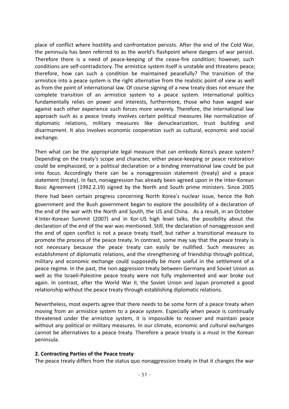place of conflict where hostility and confrontation persists. After the end of the Cold War, the peninsula has been referred to as the world's flashpoint where dangers of war persist. Therefore there is a need of peace-keeping of the cease-fire condition; however, such conditions are self‐contradictory. The armistice system itself is unstable and threatens peace; therefore, how can such a condition be maintained peacefully? The transition of the armistice into a peace system is the right alternative from the realistic point of view as well as from the point of international law. Of course signing of a new treaty does not ensure the complete transition of an armistice system to a peace system. International politics fundamentally relies on power and interests, furthermore, those who have waged war against each other experience such forces more severely. Therefore, the international law approach such as a peace treaty involves certain political measures like normalization of diplomatic relations, military measures like denuclearization, trust building and disarmament. It also involves economic cooperation such as cultural, economic and social exchange.

Then what can be the appropriate legal measure that can embody Korea's peace system? Depending on the treaty's scope and character, either peace-keeping or peace restoration could be emphasized, or a political declaration or a binding international law could be put into focus. Accordingly there can be a nonaggression statement (treaty) and a peace statement (treaty). In fact, nonaggression has already been agreed upon in the Inter‐Korean Basic Agreement (1992.2.19) signed by the North and South prime ministers. Since 2005

there had been certain progress concerning North Korea's nuclear issue, hence the Roh government and the Bush government began to explore the possibility of a declaration of the end of the war with the North and South, the US and China. As a result, in an October 4 Inter‐Korean Summit (2007) and in Kor‐US high level talks, the possibility about the declaration of the end of the war was mentioned. Still, the declaration of nonaggression and the end of open conflict is not a peace treaty itself, but rather a transitional measure to promote the process of the peace treaty. In contrast, some may say that the peace treaty is not necessary because the peace treaty can easily be nullified. Such measures as establishment of diplomatic relations, and the strengthening of friendship through political, military and economic exchange could supposedly be more useful in the settlement of a peace regime. In the past, the non‐aggression treaty between Germany and Soviet Union as well as the Israeli-Palestine peace treaty were not fully implemented and war broke out again. In contrast, after the World War II, the Soviet Union and Japan promoted a good relationship without the peace treaty through establishing diplomatic relations.

Nevertheless, most experts agree that there needs to be some form of a peace treaty when moving from an armistice system to a peace system. Especially when peace is continually threatened under the armistice system, it is impossible to recover and maintain peace without any political or military measures. In our climate, economic and cultural exchanges cannot be alternatives to a peace treaty. Therefore a peace treaty is a must in the Korean peninsula.

#### **2. Contracting Parties of the Peace treaty**

The peace treaty differs from the status quo nonaggression treaty in that it changes the war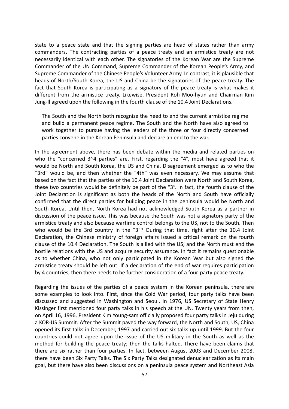state to a peace state and that the signing parties are head of states rather than army commanders. The contracting parties of a peace treaty and an armistice treaty are not necessarily identical with each other. The signatories of the Korean War are the Supreme Commander of the UN Command, Supreme Commander of the Korean People's Army, and Supreme Commander of the Chinese People's Volunteer Army. In contrast, it is plausible that heads of North/South Korea, the US and China be the signatories of the peace treaty. The fact that South Korea is participating as a signatory of the peace treaty is what makes it different from the armistice treaty. Likewise, President Roh Moo-hyun and Chairman Kim Jung‐Il agreed upon the following in the fourth clause of the 10.4 Joint Declarations.

The South and the North both recognize the need to end the current armistice regime and build a permanent peace regime. The South and the North have also agreed to work together to pursue having the leaders of the three or four directly concerned parties convene in the Korean Peninsula and declare an end to the war.

In the agreement above, there has been debate within the media and related parties on who the "concerned 3~4 parties" are. First, regarding the "4", most have agreed that it would be North and South Korea, the US and China. Disagreement emerged as to who the "3rd" would be, and then whether the "4th" was even necessary. We may assume that based on the fact that the parties of the 10.4 Joint Declaration were North and South Korea, these two countries would be definitely be part of the "3". In fact, the fourth clause of the Joint Declaration is significant as both the heads of the North and South have officially confirmed that the direct parties for building peace in the peninsula would be North and South Korea. Until then, North Korea had not acknowledged South Korea as a partner in discussion of the peace issue. This was because the South was not a signatory party of the armistice treaty and also because wartime control belongs to the US, not to the South. Then who would be the 3rd country in the "3"? During that time, right after the 10.4 Joint Declaration, the Chinese ministry of foreign affairs issued a critical remark on the fourth clause of the 10.4 Declaration. The South is allied with the US; and the North must end the hostile relations with the US and acquire security assurance. In fact it remains questionable as to whether China, who not only participated in the Korean War but also signed the armistice treaty should be left out. If a declaration of the end of war requires participation by 4 countries, then there needs to be further consideration of a four‐party peace treaty.

Regarding the issues of the parties of a peace system in the Korean peninsula, there are some examples to look into. First, since the Cold War period, four party talks have been discussed and suggested in Washington and Seoul. In 1976, US Secretary of State Henry Kissinger first mentioned four party talks in his speech at the UN. Twenty years from then, on April 16, 1996, President Kim Young‐sam officially proposed four party talks in Jeju during a KOR‐US Summit. After the Summit paved the way forward, the North and South, US, China opened its first talks in December, 1997 and carried out six talks up until 1999. But the four countries could not agree upon the issue of the US military in the South as well as the method for building the peace treaty; then the talks halted. There have been claims that there are six rather than four parties. In fact, between August 2003 and December 2008, there have been Six Party Talks. The Six Party Talks designated denuclearization as its main goal, but there have also been discussions on a peninsula peace system and Northeast Asia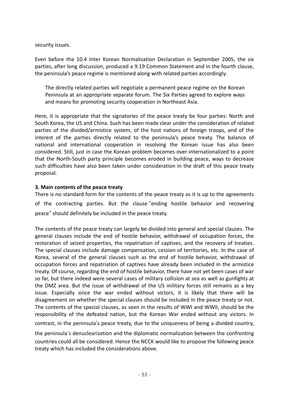security issues.

Even before the 10.4 Inter Korean Normalization Declaration in September 2005, the six parties, after long discussion, produced a 9.19 Common Statement and in the fourth clause, the peninsula's peace regime is mentioned along with related parties accordingly.

The directly related parties will negotiate a permanent peace regime on the Korean Peninsula at an appropriate separate forum. The Six Parties agreed to explore ways and means for promoting security cooperation in Northeast Asia.

Here, it is appropriate that the signatories of the peace treaty be four parties: North and South Korea, the US and China. Such has been made clear under the consideration of related parties of the divided/armistice system, of the host nations of foreign troops, and of the interest of the parties directly related to the peninsula's peace treaty. The balance of national and international cooperation in resolving the Korean issue has also been considered. Still, just in case the Korean problem becomes over‐internationalized to a point that the North‐South party principle becomes eroded in building peace, ways to decrease such difficulties have also been taken under consideration in the draft of this peace treaty proposal.

#### **3. Main contents of the peace treaty**

There is no standard form for the contents of the peace treaty as it is up to the agreements of the contracting parties. But the clause "ending hostile behavior and recovering peace" should definitely be included in the peace treaty.

The contents of the peace treaty can largely be divided into general and special clauses. The general clauses include the end of hostile behavior, withdrawal of occupation forces, the restoration of seized properties, the repatriation of captives, and the recovery of treaties. The special clauses include damage compensation, cession of territories, etc. In the case of Korea, several of the general clauses such as the end of hostile behavior, withdrawal of occupation forces and repatriation of captives have already been included in the armistice treaty. Of course, regarding the end of hostile behavior, there have not yet been cases of war so far, but there indeed were several cases of military collision at sea as well as gunfights at the DMZ area. But the issue of withdrawal of the US military forces still remains as a key issue. Especially since the war ended without victors, it is likely that there will be disagreement on whether the special clauses should be included in the peace treaty or not. The contents of the special clauses, as seen in the results of WWI and WWII, should be the responsibility of the defeated nation, but the Korean War ended without any victors. In contrast, in the peninsula's peace treaty, due to the uniqueness of being a divided country, the peninsula's denuclearization and the diplomatic normalization between the confronting countries could all be considered. Hence the NCCK would like to propose the following peace treaty which has included the considerations above.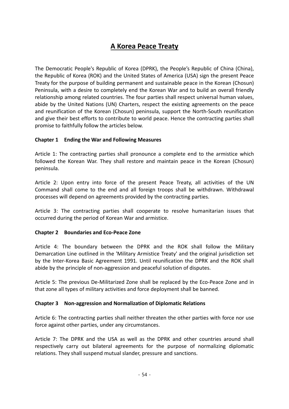## **A Korea Peace Treaty**

The Democratic People's Republic of Korea (DPRK), the People's Republic of China (China), the Republic of Korea (ROK) and the United States of America (USA) sign the present Peace Treaty for the purpose of building permanent and sustainable peace in the Korean (Chosun) Peninsula, with a desire to completely end the Korean War and to build an overall friendly relationship among related countries. The four parties shall respect universal human values, abide by the United Nations (UN) Charters, respect the existing agreements on the peace and reunification of the Korean (Chosun) peninsula, support the North-South reunification and give their best efforts to contribute to world peace. Hence the contracting parties shall promise to faithfully follow the articles below.

#### **Chapter 1 Ending the War and Following Measures**

Article 1: The contracting parties shall pronounce a complete end to the armistice which followed the Korean War. They shall restore and maintain peace in the Korean (Chosun) peninsula.

Article 2: Upon entry into force of the present Peace Treaty, all activities of the UN Command shall come to the end and all foreign troops shall be withdrawn. Withdrawal processes will depend on agreements provided by the contracting parties.

Article 3: The contracting parties shall cooperate to resolve humanitarian issues that occurred during the period of Korean War and armistice.

#### **Chapter 2 Boundaries and Eco‐Peace Zone**

Article 4: The boundary between the DPRK and the ROK shall follow the Military Demarcation Line outlined in the 'Military Armistice Treaty' and the original jurisdiction set by the Inter-Korea Basic Agreement 1991. Until reunification the DPRK and the ROK shall abide by the principle of non‐aggression and peaceful solution of disputes.

Article 5: The previous De‐Militarized Zone shall be replaced by the Eco‐Peace Zone and in that zone all types of military activities and force deployment shall be banned.

#### **Chapter 3 Non‐aggression and Normalization of Diplomatic Relations**

Article 6: The contracting parties shall neither threaten the other parties with force nor use force against other parties, under any circumstances.

Article 7: The DPRK and the USA as well as the DPRK and other countries around shall respectively carry out bilateral agreements for the purpose of normalizing diplomatic relations. They shall suspend mutual slander, pressure and sanctions.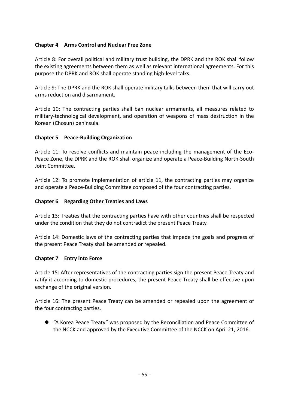#### **Chapter 4 Arms Control and Nuclear Free Zone**

Article 8: For overall political and military trust building, the DPRK and the ROK shall follow the existing agreements between them as well as relevant international agreements. For this purpose the DPRK and ROK shall operate standing high‐level talks.

Article 9: The DPRK and the ROK shall operate military talks between them that will carry out arms reduction and disarmament.

Article 10: The contracting parties shall ban nuclear armaments, all measures related to military‐technological development, and operation of weapons of mass destruction in the Korean (Chosun) peninsula.

#### **Chapter 5 Peace‐Building Organization**

Article 11: To resolve conflicts and maintain peace including the management of the Eco-Peace Zone, the DPRK and the ROK shall organize and operate a Peace‐Building North‐South Joint Committee.

Article 12: To promote implementation of article 11, the contracting parties may organize and operate a Peace‐Building Committee composed of the four contracting parties.

#### **Chapter 6 Regarding Other Treaties and Laws**

Article 13: Treaties that the contracting parties have with other countries shall be respected under the condition that they do not contradict the present Peace Treaty.

Article 14: Domestic laws of the contracting parties that impede the goals and progress of the present Peace Treaty shall be amended or repealed.

#### **Chapter 7 Entry into Force**

Article 15: After representatives of the contracting parties sign the present Peace Treaty and ratify it according to domestic procedures, the present Peace Treaty shall be effective upon exchange of the original version.

Article 16: The present Peace Treaty can be amended or repealed upon the agreement of the four contracting parties.

 "A Korea Peace Treaty" was proposed by the Reconciliation and Peace Committee of the NCCK and approved by the Executive Committee of the NCCK on April 21, 2016.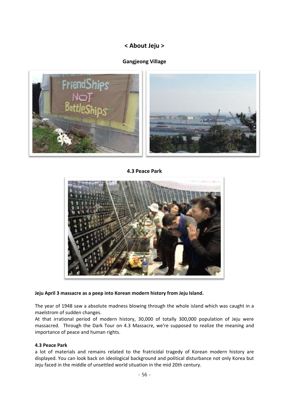## **< About Jeju >**

### **Gangjeong Village**



**4.3 Peace Park** 



#### **Jeju April 3 massacre as a peep into Korean modern history from Jeju Island.**

The year of 1948 saw a absolute madness blowing through the whole island which was caught in a maelstrom of sudden changes.

At that irrational period of modern history, 30,000 of totally 300,000 population of Jeju were massacred. Through the Dark Tour on 4.3 Massacre, we're supposed to realize the meaning and importance of peace and human rights.

#### **4.3 Peace Park**

a lot of materials and remains related to the fratricidal tragedy of Korean modern history are displayed. You can look back on ideological background and political disturbance not only Korea but Jeju faced in the middle of unsettled world situation in the mid 20th century.